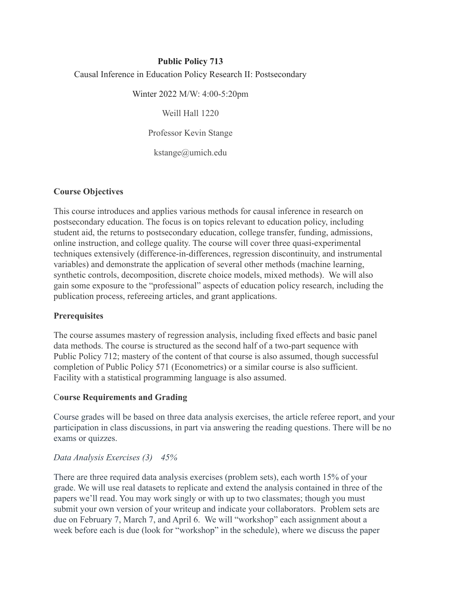### **Public Policy 713** Causal Inference in Education Policy Research II: Postsecondary

Winter 2022 M/W: 4:00-5:20pm

Weill Hall 1220

Professor Kevin Stange

kstange@umich.edu

#### **Course Objectives**

This course introduces and applies various methods for causal inference in research on postsecondary education. The focus is on topics relevant to education policy, including student aid, the returns to postsecondary education, college transfer, funding, admissions, online instruction, and college quality. The course will cover three quasi-experimental techniques extensively (difference-in-differences, regression discontinuity, and instrumental variables) and demonstrate the application of several other methods (machine learning, synthetic controls, decomposition, discrete choice models, mixed methods). We will also gain some exposure to the "professional" aspects of education policy research, including the publication process, refereeing articles, and grant applications.

#### **Prerequisites**

The course assumes mastery of regression analysis, including fixed effects and basic panel data methods. The course is structured as the second half of a two-part sequence with Public Policy 712; mastery of the content of that course is also assumed, though successful completion of Public Policy 571 (Econometrics) or a similar course is also sufficient. Facility with a statistical programming language is also assumed.

#### C**ourse Requirements and Grading**

Course grades will be based on three data analysis exercises, the article referee report, and your participation in class discussions, in part via answering the reading questions. There will be no exams or quizzes.

#### *Data Analysis Exercises (3) 45%*

There are three required data analysis exercises (problem sets), each worth 15% of your grade. We will use real datasets to replicate and extend the analysis contained in three of the papers we'll read. You may work singly or with up to two classmates; though you must submit your own version of your writeup and indicate your collaborators. Problem sets are due on February 7, March 7, and April 6. We will "workshop" each assignment about a week before each is due (look for "workshop" in the schedule), where we discuss the paper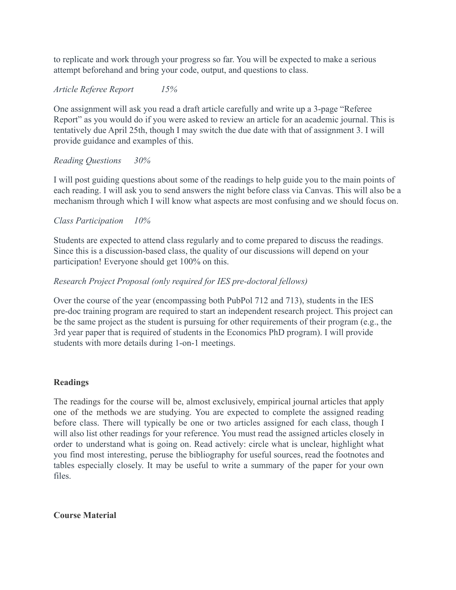to replicate and work through your progress so far. You will be expected to make a serious attempt beforehand and bring your code, output, and questions to class.

#### *Article Referee Report 15%*

One assignment will ask you read a draft article carefully and write up a 3-page "Referee Report" as you would do if you were asked to review an article for an academic journal. This is tentatively due April 25th, though I may switch the due date with that of assignment 3. I will provide guidance and examples of this.

#### *Reading Questions 30%*

I will post guiding questions about some of the readings to help guide you to the main points of each reading. I will ask you to send answers the night before class via Canvas. This will also be a mechanism through which I will know what aspects are most confusing and we should focus on.

#### *Class Participation 10%*

Students are expected to attend class regularly and to come prepared to discuss the readings. Since this is a discussion-based class, the quality of our discussions will depend on your participation! Everyone should get 100% on this.

#### *Research Project Proposal (only required for IES pre-doctoral fellows)*

Over the course of the year (encompassing both PubPol 712 and 713), students in the IES pre-doc training program are required to start an independent research project. This project can be the same project as the student is pursuing for other requirements of their program (e.g., the 3rd year paper that is required of students in the Economics PhD program). I will provide students with more details during 1-on-1 meetings.

#### **Readings**

The readings for the course will be, almost exclusively, empirical journal articles that apply one of the methods we are studying. You are expected to complete the assigned reading before class. There will typically be one or two articles assigned for each class, though I will also list other readings for your reference. You must read the assigned articles closely in order to understand what is going on. Read actively: circle what is unclear, highlight what you find most interesting, peruse the bibliography for useful sources, read the footnotes and tables especially closely. It may be useful to write a summary of the paper for your own files.

#### **Course Material**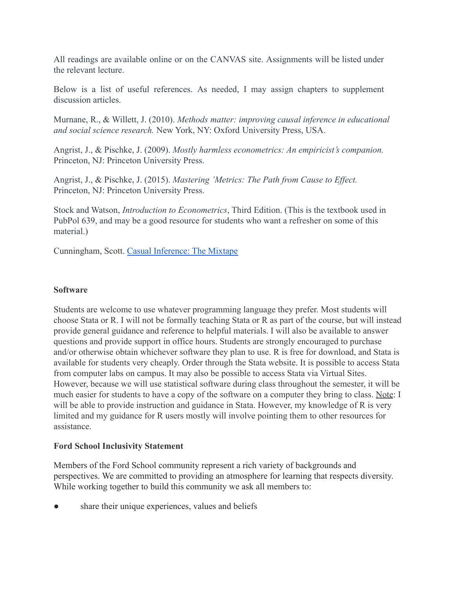All readings are available online or on the CANVAS site. Assignments will be listed under the relevant lecture.

Below is a list of useful references. As needed, I may assign chapters to supplement discussion articles.

Murnane, R., & Willett, J. (2010). *Methods matter: improving causal inference in educational and social science research.* New York, NY: Oxford University Press, USA.

Angrist, J., & Pischke, J. (2009). *Mostly harmless econometrics: An empiricist's companion.* Princeton, NJ: Princeton University Press.

Angrist, J., & Pischke, J. (2015). *Mastering 'Metrics: The Path from Cause to Effect.* Princeton, NJ: Princeton University Press.

Stock and Watson, *Introduction to Econometrics*, Third Edition. (This is the textbook used in PubPol 639, and may be a good resource for students who want a refresher on some of this material.)

Cunningham, Scott. [Casual Inference: The Mixtape](https://mixtape.scunning.com/index.html)

#### **Software**

Students are welcome to use whatever programming language they prefer. Most students will choose Stata or R. I will not be formally teaching Stata or R as part of the course, but will instead provide general guidance and reference to helpful materials. I will also be available to answer questions and provide support in office hours. Students are strongly encouraged to purchase and/or otherwise obtain whichever software they plan to use. R is free for download, and Stata is available for students very cheaply. Order through the Stata website. It is possible to access Stata from computer labs on campus. It may also be possible to access Stata via Virtual Sites. However, because we will use statistical software during class throughout the semester, it will be much easier for students to have a copy of the software on a computer they bring to class. Note: I will be able to provide instruction and guidance in Stata. However, my knowledge of R is very limited and my guidance for R users mostly will involve pointing them to other resources for assistance.

#### **Ford School Inclusivity Statement**

Members of the Ford School community represent a rich variety of backgrounds and perspectives. We are committed to providing an atmosphere for learning that respects diversity. While working together to build this community we ask all members to:

share their unique experiences, values and beliefs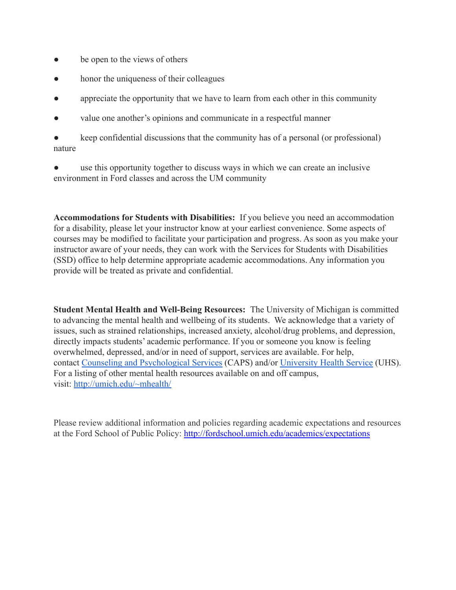- be open to the views of others
- honor the uniqueness of their colleagues
- appreciate the opportunity that we have to learn from each other in this community
- value one another's opinions and communicate in a respectful manner

keep confidential discussions that the community has of a personal (or professional) nature

use this opportunity together to discuss ways in which we can create an inclusive environment in Ford classes and across the UM community

**Accommodations for Students with Disabilities:** If you believe you need an accommodation for a disability, please let your instructor know at your earliest convenience. Some aspects of courses may be modified to facilitate your participation and progress. As soon as you make your instructor aware of your needs, they can work with the Services for Students with Disabilities (SSD) office to help determine appropriate academic accommodations. Any information you provide will be treated as private and confidential.

**Student Mental Health and Well-Being Resources:** The University of Michigan is committed to advancing the mental health and wellbeing of its students. We acknowledge that a variety of issues, such as strained relationships, increased anxiety, alcohol/drug problems, and depression, directly impacts students' academic performance. If you or someone you know is feeling overwhelmed, depressed, and/or in need of support, services are available. For help, contact [Counseling and Psychological Services](https://caps.umich.edu/) (CAPS) and/or [University Health Service](https://www.uhs.umich.edu/mentalhealthsvcs) (UHS). For a listing of other mental health resources available on and off campus, visit: <http://umich.edu/~mhealth/>

Please review additional information and policies regarding academic expectations and resources at the Ford School of Public Policy: <http://fordschool.umich.edu/academics/expectations>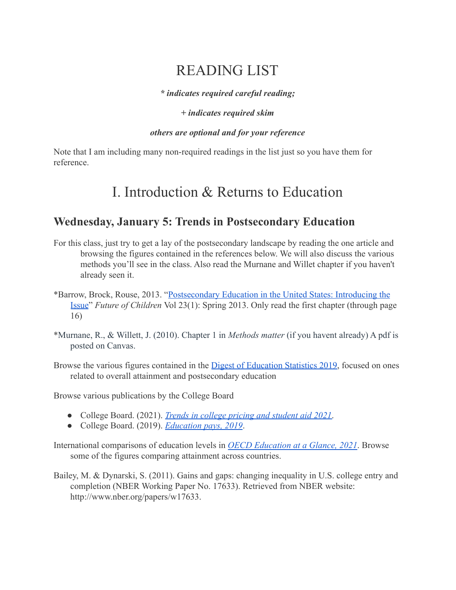# READING LIST

*\* indicates required careful reading;*

#### *+ indicates required skim*

#### *others are optional and for your reference*

Note that I am including many non-required readings in the list just so you have them for reference.

# I. Introduction & Returns to Education

### **Wednesday, January 5: Trends in Postsecondary Education**

- For this class, just try to get a lay of the postsecondary landscape by reading the one article and browsing the figures contained in the references below. We will also discuss the various methods you'll see in the class. Also read the Murnane and Willet chapter if you haven't already seen it.
- \*Barrow, Brock, Rouse, 2013. "Postsecondary Education [in the United States: Introducing the](https://futureofchildren.princeton.edu/sites/futureofchildren/files/media/postsecondary_education_in_the_united_states_23_01_fulljournal.pdf) [Issue](https://futureofchildren.princeton.edu/sites/futureofchildren/files/media/postsecondary_education_in_the_united_states_23_01_fulljournal.pdf)" *Future of Children* Vol 23(1): Spring 2013. Only read the first chapter (through page 16)
- \*Murnane, R., & Willett, J. (2010). Chapter 1 in *Methods matter* (if you havent already) A pdf is posted on Canvas.
- Browse the various figures contained in the Digest [of Education Statistics 2019,](https://nces.ed.gov/programs/digest/2019menu_figures.asp) focused on ones related to overall attainment and postsecondary education

Browse various publications by the College Board

- College Board. (2021). *[Trends in college pricing and](https://research.collegeboard.org/pdf/trends-college-pricing-student-aid-2021.pdf) student aid 2021*.
- College Board. (2019). *[Education pays, 2019](https://research.collegeboard.org/pdf/education-pays-2019-full-report.pdf)*.

International comparisons of education levels in *OECD [Education at a Glance, 2021](https://www.oecd-ilibrary.org/education/education-at-a-glance-2021_b35a14e5-en)*. Browse some of the figures comparing attainment across countries.

Bailey, M. & Dynarski, S. (2011). Gains and gaps: changing inequality in U.S. college entry and completion (NBER Working Paper No. 17633). Retrieved from NBER website: [http://www.nber.org/papers/w17633.](http://www.nber.org/papers/w17633)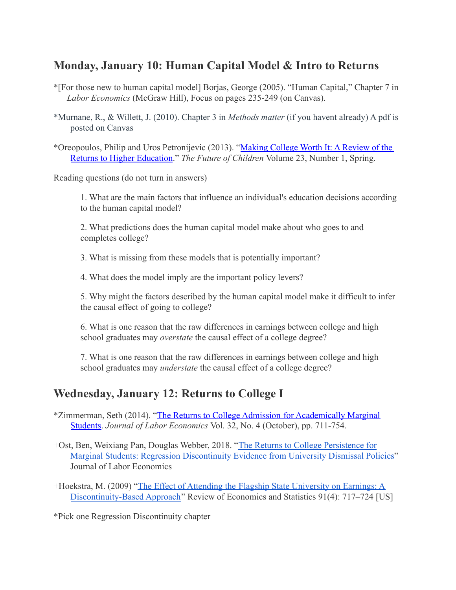### **Monday, January 10: Human Capital Model & Intro to Returns**

- \*[For those new to human capital model] Borjas, George (2005). "Human Capital," Chapter 7 in *Labor Economics* (McGraw Hill), Focus on pages 235-249 (on Canvas).
- \*Murnane, R., & Willett, J. (2010). Chapter 3 in *Methods matter* (if you havent already) A pdf is posted on Canvas
- \*Oreopoulos, Philip and Uros Petronijevic (2013). "[Making College Worth It: A Review of the](https://www.jstor.org/stable/23409488) [Returns to Higher Education](https://www.jstor.org/stable/23409488)." *The Future of Children* Volume 23, Number 1, Spring.

Reading questions (do not turn in answers)

1. What are the main factors that influence an individual's education decisions according to the human capital model?

2. What predictions does the human capital model make about who goes to and completes college?

3. What is missing from these models that is potentially important?

4. What does the model imply are the important policy levers?

5. Why might the factors described by the human capital model make it difficult to infer the causal effect of going to college?

6. What is one reason that the raw differences in earnings between college and high school graduates may *overstate* the causal effect of a college degree?

7. What is one reason that the raw differences in earnings between college and high school graduates may *understate* the causal effect of a college degree?

## **Wednesday, January 12: Returns to College I**

- \*Zimmerman, Seth (2014). "[The Returns to College Admission](https://www.journals.uchicago.edu/doi/10.1086/676661) for Academically Marginal [Students.](https://www.journals.uchicago.edu/doi/10.1086/676661) *Journal of Labor Economics* Vol. 32, No. 4 (October), pp. 711-754.
- +Ost, Ben, Weixiang Pan, Douglas Webber, 2018. "The [Returns to College Persistence for](https://www.journals.uchicago.edu/doi/full/10.1086/696204) [Marginal Students: Regression Discontinuity Evidence from University Dismissal Policies"](https://www.journals.uchicago.edu/doi/full/10.1086/696204) Journal of Labor Economics
- +Hoekstra, M. (2009) "The Effect of Attending the [Flagship State University on Earnings: A](https://www.mitpressjournals.org/doi/10.1162/rest.91.4.717) [Discontinuity-Based Approach](https://www.mitpressjournals.org/doi/10.1162/rest.91.4.717)" Review of Economics and Statistics 91(4): 717–724 [US]

\*Pick one Regression Discontinuity chapter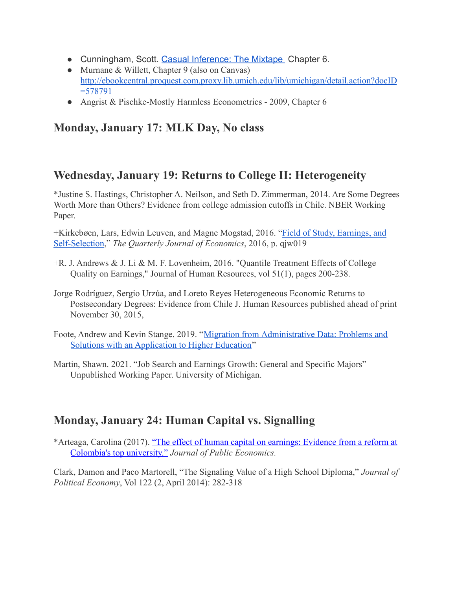- Cunningham, Scott. [Casual Inference: The Mixtape](https://mixtape.scunning.com/index.html) Chapter 6.
- Murnane & Willett, Chapter 9 (also on Canvas) [http://ebookcentral.proquest.com.proxy.lib.umich.edu/lib/umichigan/detail.action?docID](http://ebookcentral.proquest.com.proxy.lib.umich.edu/lib/umichigan/detail.action?docID=578791) [=578791](http://ebookcentral.proquest.com.proxy.lib.umich.edu/lib/umichigan/detail.action?docID=578791)
- Angrist & Pischke-Mostly Harmless Econometrics 2009, Chapter 6

# **Monday, January 17: MLK Day, No class**

## **Wednesday, January 19: Returns to College II: Heterogeneity**

\*Justine S. Hastings, Christopher A. Neilson, and Seth D. Zimmerman, 2014. Are Some Degrees Worth More than Others? Evidence from college admission cutoffs in Chile. NBER Working Paper.

+Kirkebøen, Lars, Edwin Leuven, and Magne Mogstad, 2016. "[Field of Study, Earnings, and](https://academic.oup.com/qje/article/131/3/1057/2461218) [Self-Selection,](https://academic.oup.com/qje/article/131/3/1057/2461218)" *The Quarterly Journal of Economics*, 2016, p. qjw019

- +R. J. Andrews & J. Li & M. F. Lovenheim, 2016. "Quantile Treatment Effects of College Quality on Earnings," Journal of Human Resources, vol 51(1), pages 200-238.
- Jorge Rodríguez, Sergio Urzúa, and Loreto Reyes Heterogeneous Economic Returns to Postsecondary Degrees: Evidence from Chile J. Human Resources published ahead of print November 30, 2015,
- Foote, Andrew and Kevin Stange. 2019. "Migration from [Administrative Data: Problems and](https://conference.nber.org/conf_papers/f131000.pdf) [Solutions with an Application to Higher Education](https://conference.nber.org/conf_papers/f131000.pdf)"
- Martin, Shawn. 2021. "Job Search and Earnings Growth: General and Specific Majors" Unpublished Working Paper. University of Michigan.

# **Monday, January 24: Human Capital vs. Signalling**

\*Arteaga, Carolina (2017). "The effect of human capital [on earnings: Evidence from a reform at](https://www.sciencedirect.com/science/article/pii/S0047272717301809) [Colombia's top university."](https://www.sciencedirect.com/science/article/pii/S0047272717301809) *Journal of Public Economics.*

Clark, Damon and Paco Martorell, "The Signaling Value of a High School Diploma," *Journal of Political Economy*, Vol 122 (2, April 2014): 282-318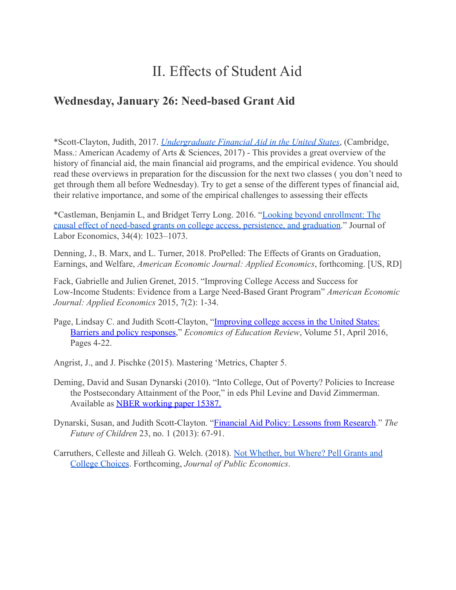# II. Effects of Student Aid

### **Wednesday, January 26: Need-based Grant Aid**

\*Scott-Clayton, Judith, 2017. *[Undergraduate Financial](https://www.amacad.org/sites/default/files/publication/downloads/CFUE_Financial-Aid.pdf) Aid in the United States*, (Cambridge, Mass.: American Academy of Arts & Sciences, 2017) - This provides a great overview of the history of financial aid, the main financial aid programs, and the empirical evidence. You should read these overviews in preparation for the discussion for the next two classes ( you don't need to get through them all before Wednesday). Try to get a sense of the different types of financial aid, their relative importance, and some of the empirical challenges to assessing their effects

\*Castleman, Benjamin L, and Bridget Terry Long. 2016. ["Looking beyond enrollment: The](https://www.journals.uchicago.edu/doi/full/10.1086/686643) [causal effect of need-based grants on college access, persistence, and graduation.](https://www.journals.uchicago.edu/doi/full/10.1086/686643)" Journal of Labor Economics, 34(4): 1023–1073.

Denning, J., B. Marx, and L. Turner, 2018. ProPelled: The Effects of Grants on Graduation, Earnings, and Welfare, *American Economic Journal: Applied Economics*, forthcoming. [US, RD]

Fack, Gabrielle and Julien Grenet, 2015. "Improving College Access and Success for Low-Income Students: Evidence from a Large Need-Based Grant Program" *American Economic Journal: Applied Economics* 2015, 7(2): 1-34.

Page, Lindsay C. and Judith Scott-Clayton, "Improving [college access in the United States:](https://doi.org/10.1016/j.econedurev.2016.02.009) [Barriers and policy responses](https://doi.org/10.1016/j.econedurev.2016.02.009)," *Economics of Education Review*, Volume 51, April 2016, Pages 4-22.

Angrist, J., and J. Pischke (2015). Mastering 'Metrics, Chapter 5.

- Deming, David and Susan Dynarski (2010). "Into College, Out of Poverty? Policies to Increase the Postsecondary Attainment of the Poor," in eds Phil Levine and David Zimmerman. Available as [NBER working paper 15387.](http://www.nber.org/papers/w15387)
- Dynarski, Susan, and Judith Scott-Clayton. "Financial [Aid Policy: Lessons from Research.](http://www.jstor.org/stable/23409489)" *The Future of Children* 23, no. 1 (2013): 67-91.
- Carruthers, Celleste and Jilleah G. Welch. (2018). [Not Whether, but Where? Pell Grants and](http://web.utk.edu/~ccarrut1/CarruthersWelch_2018-08-10.pdf) [College Choices](http://web.utk.edu/~ccarrut1/CarruthersWelch_2018-08-10.pdf). Forthcoming, *Journal of Public Economics*.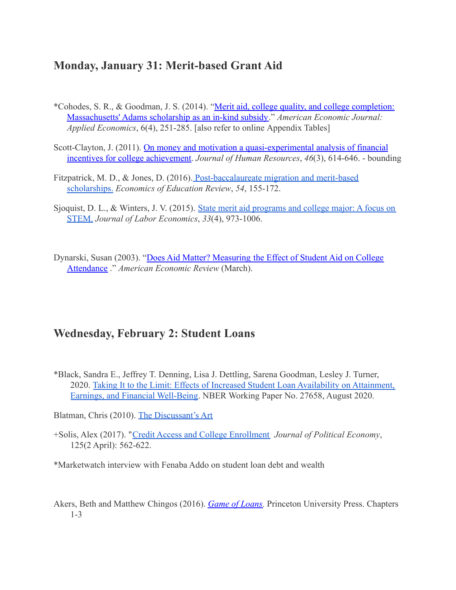### **Monday, January 31: Merit-based Grant Aid**

- \*Cohodes, S. R., & Goodman, J. S. (2014). "Merit aid, [college quality, and college completion:](https://www.aeaweb.org/articles?id=10.1257/app.6.4.251) [Massachusetts' Adams scholarship as an in-kind subsidy.](https://www.aeaweb.org/articles?id=10.1257/app.6.4.251)" *American Economic Journal: Applied Economics*, 6(4), 251-285. [also refer to online Appendix Tables]
- Scott-Clayton, J. (2011). On money and motivation [a quasi-experimental analysis of financial](http://jhr.uwpress.org/content/46/3/614.short) [incentives for college achievement.](http://jhr.uwpress.org/content/46/3/614.short) *Journal of Human Resources*, *46*(3), 614-646. - bounding
- Fitzpatrick, M. D., & Jones, D. (2016). Post-baccalaureate [migration and merit-based](https://doi.org/10.1016/j.econedurev.2016.07.002) [scholarships.](https://doi.org/10.1016/j.econedurev.2016.07.002) *Economics of Education Review*, *54*, 155-172.
- Sjoquist, D. L., & Winters, J. V. (2015). State merit [aid programs and college major: A focus on](https://www.journals.uchicago.edu/doi/pdfplus/10.1086/681108) [STEM.](https://www.journals.uchicago.edu/doi/pdfplus/10.1086/681108) *Journal of Labor Economics*, *33*(4), 973-1006.

Dynarski, Susan (2003). "Does Aid Matter? Measuring [the Effect of Student Aid on College](http://www.jstor.org.proxy.lib.umich.edu/stable/pdfplus/3132174.pdf) [Attendance](http://www.jstor.org.proxy.lib.umich.edu/stable/pdfplus/3132174.pdf) ." *American Economic Review* (March).

### **Wednesday, February 2: Student Loans**

\*Black, Sandra E., Jeffrey T. Denning, Lisa J. Dettling, Sarena Goodman, Lesley J. Turner, 2020. [Taking It to the Limit: Effects of Increased](https://umich.instructure.com/courses/391673/files/16644497/download?wrap=1) Student Loan Availability on Attainment, [Earnings, and Financial Well-Being](https://umich.instructure.com/courses/391673/files/16644497/download?wrap=1). NBER Working Paper No. 27658, August 2020.

Blatman, Chris (2010). [The Discussant's Art](https://chrisblattman.com/2010/02/22/the-discussants-art/)

+Solis, Alex (2017). "[Credit Access and College Enrollment](https://umich.instructure.com/courses/391673/files/16803287/download?wrap=1) *Journal of Political Economy*, 125(2 April): 562-622.

\*Marketwatch interview with Fenaba Addo on student loan debt and wealth

Akers, Beth and Matthew Chingos (2016). *[Game of Loans.](https://www-degruyter-com.proxy.lib.umich.edu/viewbooktoc/product/487048)* Princeton University Press. Chapters 1-3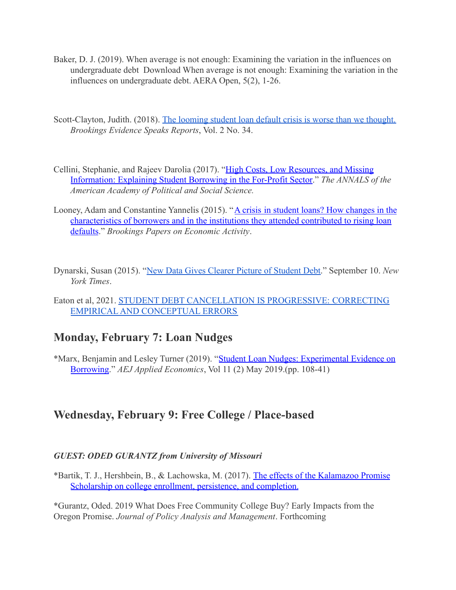- Baker, D. J. (2019). When average is not enough: Examining the variation in the influences on undergraduate debt Download When average is not enough: Examining the variation in the influences on undergraduate debt. AERA Open, 5(2), 1-26.
- Scott-Clayton, Judith. (2018). The looming student [loan default crisis is worse than we thought.](https://www.brookings.edu/research/the-looming-student-loan-default-crisis-is-worse-than-we-thought/) *Brookings Evidence Speaks Reports*, Vol. 2 No. 34.
- Cellini, Stephanie, and Rajeev Darolia (2017). "High [Costs, Low Resources, and Missing](http://journals.sagepub.com/doi/abs/10.1177/0002716217696255) [Information: Explaining Student Borrowing in the For-Profit Sector.](http://journals.sagepub.com/doi/abs/10.1177/0002716217696255)" *The ANNALS of the American Academy of Political and Social Science.*
- Looney, Adam and Constantine Yannelis (2015). "A crisis [in student loans? How changes in the](https://www.brookings.edu/bpea-articles/a-crisis-in-student-loans-how-changes-in-the-characteristics-of-borrowers-and-in-the-institutions-they-attended-contributed-to-rising-loan-defaults/) [characteristics of borrowers and in the institutions they attended contributed to rising loan](https://www.brookings.edu/bpea-articles/a-crisis-in-student-loans-how-changes-in-the-characteristics-of-borrowers-and-in-the-institutions-they-attended-contributed-to-rising-loan-defaults/) [defaults](https://www.brookings.edu/bpea-articles/a-crisis-in-student-loans-how-changes-in-the-characteristics-of-borrowers-and-in-the-institutions-they-attended-contributed-to-rising-loan-defaults/)." *Brookings Papers on Economic Activity*.
- Dynarski, Susan (2015). "[New Data Gives Clearer Picture](https://www.nytimes.com/2015/09/11/upshot/new-data-gives-clearer-picture-of-student-debt.html) of Student Debt." September 10. *New York Times*.
- Eaton et al, 2021. [STUDENT DEBT CANCELLATION IS PROGRESSIVE:](https://rooseveltinstitute.org/wp-content/uploads/2021/06/RI_StudentDebtCancellation_IssueBrief_202106.pdf) CORRECTING EMPIRICAL [AND CONCEPTUAL ERRORS](https://rooseveltinstitute.org/wp-content/uploads/2021/06/RI_StudentDebtCancellation_IssueBrief_202106.pdf)

### **Monday, February 7: Loan Nudges**

\*Marx, Benjamin and Lesley Turner (2019). "Student [Loan Nudges: Experimental Evidence on](https://www.aeaweb.org/articles?id=10.1257/pol.20180279) [Borrowing](https://www.aeaweb.org/articles?id=10.1257/pol.20180279)." *AEJ Applied Economics*, Vol 11 (2) May 2019.(pp. 108-41)

### **Wednesday, February 9: Free College / Place-based**

#### *GUEST: ODED GURANTZ from University of Missouri*

\*Bartik, T. J., Hershbein, B., & Lachowska, M. (2017). [The effects of the Kalamazoo Promise](https://research.upjohn.org/up_workingpapers/229/) [Scholarship on college enrollment, persistence, and completion.](https://research.upjohn.org/up_workingpapers/229/)

\*Gurantz, Oded. 2019 What Does Free Community College Buy? Early Impacts from the Oregon Promise. *Journal of Policy Analysis and Management*. Forthcoming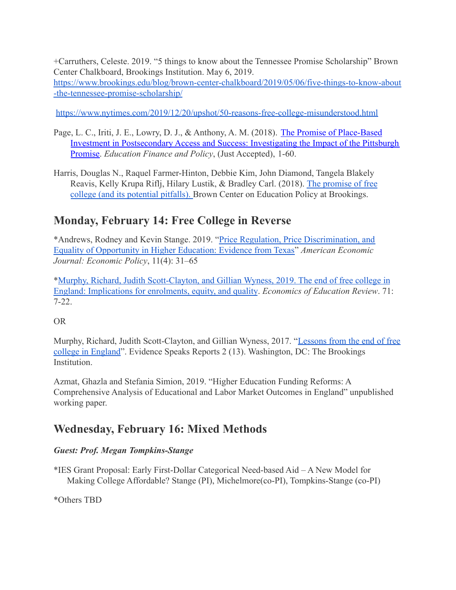+Carruthers, Celeste. 2019. "5 things to know about the Tennessee Promise Scholarship" Brown Center Chalkboard, Brookings Institution. May 6, 2019[.](https://www.brookings.edu/blog/brown-center-chalkboard/2019/05/06/five-things-to-know-about-the-tennessee-promise-scholarship/) [https://www.brookings.edu/blog/brown-center-chalkboard/2019/05/06/five-things-to-know-about](https://www.brookings.edu/blog/brown-center-chalkboard/2019/05/06/five-things-to-know-about-the-tennessee-promise-scholarship/) [-the-tennessee-promise-scholarship/](https://www.brookings.edu/blog/brown-center-chalkboard/2019/05/06/five-things-to-know-about-the-tennessee-promise-scholarship/)

<https://www.nytimes.com/2019/12/20/upshot/50-reasons-free-college-misunderstood.html>

- Page, L. C., Iriti, J. E., Lowry, D. J., & Anthony, A. M. (2018). [The Promise of Place-Based](https://doi.org/10.1162/edfp_a_00257) [Investment in Postsecondary Access and Success: Investigating the Impact of the Pittsburgh](https://doi.org/10.1162/edfp_a_00257) [Promise.](https://doi.org/10.1162/edfp_a_00257) *Education Finance and Policy*, (Just Accepted), 1-60.
- Harris, Douglas N., Raquel Farmer-Hinton, Debbie Kim, John Diamond, Tangela Blakely Reavis, Kelly Krupa Riflj, Hilary Lustik, & Bradley Carl. (2018). [The promise of free](https://www.brookings.edu/wp-content/uploads/2018/09/GS_9202018_Free-College.pdf) [college \(and its potential pitfalls\).](https://www.brookings.edu/wp-content/uploads/2018/09/GS_9202018_Free-College.pdf) Brown Center on Education Policy at Brookings.

# **Monday, February 14: Free College in Reverse**

\*Andrews, Rodney and Kevin Stange. 2019. "Price Regulation, [Price Discrimination, and](https://www.aeaweb.org/articles?id=10.1257/pol.20170306) [Equality of Opportunity in Higher Education: Evidence from Texas"](https://www.aeaweb.org/articles?id=10.1257/pol.20170306) *American Economic Journal: Economic Policy*, 11(4): 31–65

\*[Murphy, Richard, Judith Scott-Clayton, and Gillian](https://www.sciencedirect.com/science/article/pii/S0272775717306404?via%3Dihub) Wyness, 2019. The end of free college in [England: Implications for enrolments, equity, and quality](https://www.sciencedirect.com/science/article/pii/S0272775717306404?via%3Dihub). *Economics of Education Review*. 71: 7-22.

#### OR

Murphy, Richard, Judith Scott-Clayton, and Gillian Wyness, 2017. "[Lessons from the end of free](https://www.brookings.edu/research/lessons-from-the-end-of-free-college-in-england/) [college in England"](https://www.brookings.edu/research/lessons-from-the-end-of-free-college-in-england/). Evidence Speaks Reports 2 (13). Washington, DC: The Brookings **Institution** 

Azmat, Ghazla and Stefania Simion, 2019. "Higher Education Funding Reforms: A Comprehensive Analysis of Educational and Labor Market Outcomes in England" unpublished working paper.

## **Wednesday, February 16: Mixed Methods**

#### *Guest: Prof. Megan Tompkins-Stange*

\*IES Grant Proposal: Early First-Dollar Categorical Need-based Aid – A New Model for Making College Affordable? Stange (PI), Michelmore(co-PI), Tompkins-Stange (co-PI)

\*Others TBD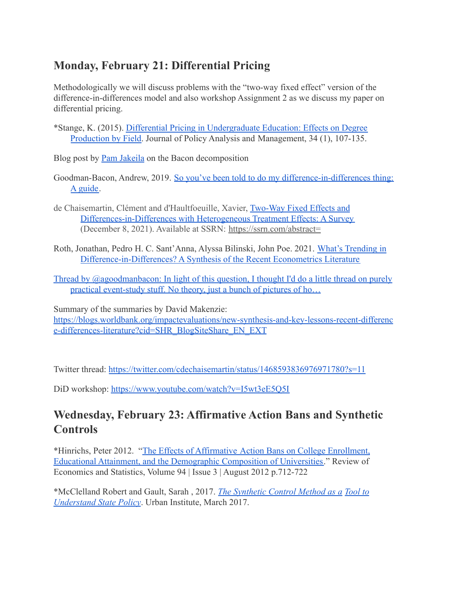# **Monday, February 21: Differential Pricing**

Methodologically we will discuss problems with the "two-way fixed effect" version of the difference-in-differences model and also workshop Assignment 2 as we discuss my paper on differential pricing.

\*Stange, K. (2015). [Differential Pricing in Undergraduate](http://www-personal.umich.edu/~kstange/papers/StangeDifferentialPricing2015.pdf) Education: Effects on Degree [Production by Field.](http://www-personal.umich.edu/~kstange/papers/StangeDifferentialPricing2015.pdf) Journal of Policy Analysis and Management, 34 (1), 107-135.

Blog post by [Pam Jakeila](https://blogs.worldbank.org/impactevaluations/what-are-we-estimating-when-we-estimate-difference-differences) on the Bacon decomposition

- Goodman-Bacon, Andrew, 2019. So you've been told to [do my difference-in-differences thing:](https://cdn.vanderbilt.edu/vu-my/wp-content/uploads/sites/2318/2019/10/09023516/so_youve_been_told_dd_10_9_2019.pdf) [A guide.](https://cdn.vanderbilt.edu/vu-my/wp-content/uploads/sites/2318/2019/10/09023516/so_youve_been_told_dd_10_9_2019.pdf)
- de Chaisemartin, Clément and d'Haultfoeuille, Xavier, [Two-Way Fixed Effects and](https://papers.ssrn.com/sol3/papers.cfm?abstract_id=3980758) [Differences-in-Differences with Heterogeneous Treatment Effects: A Survey](https://papers.ssrn.com/sol3/papers.cfm?abstract_id=3980758) (December 8, 2021). Available at SSRN: <https://ssrn.com/abstract=>
- Roth, Jonathan, Pedro H. C. Sant'Anna, Alyssa Bilinski, John Poe. 2021. [What's Trending in](https://jonathandroth.github.io/assets/files/DiD_Review_Paper.pdf) [Difference-in-Differences? A Synthesis of the Recent Econometrics Literature](https://jonathandroth.github.io/assets/files/DiD_Review_Paper.pdf)

[Thread by @agoodmanbacon: In light of this question, I thought I'd do a little thread on purely](https://threadreaderapp.com/thread/1165643395844493313.html) [practical event-study stuff. No theory, just a bunch of pictures of ho…](https://threadreaderapp.com/thread/1165643395844493313.html)

Summary of the summaries by David Makenzie: [https://blogs.worldbank.org/impactevaluations/new-synthesis-and-key-lessons-recent-differenc](https://blogs.worldbank.org/impactevaluations/new-synthesis-and-key-lessons-recent-difference-differences-literature?cid=SHR_BlogSiteShare_EN_EXT) [e-differences-literature?cid=SHR\\_BlogSiteShare\\_EN\\_EXT](https://blogs.worldbank.org/impactevaluations/new-synthesis-and-key-lessons-recent-difference-differences-literature?cid=SHR_BlogSiteShare_EN_EXT)

Twitter thread: <https://twitter.com/cdechaisemartin/status/1468593836976971780?s=11>

DiD workshop: <https://www.youtube.com/watch?v=I5wt3eE5Q5I>

# **Wednesday, February 23: Affirmative Action Bans and Synthetic Controls**

\*Hinrichs, Peter 2012. "The Effects of Affirmative [Action Bans on College Enrollment,](https://www.mitpressjournals.org/doi/10.1162/REST_a_00170) [Educational Attainment, and the Demographic Composition of Universities.](https://www.mitpressjournals.org/doi/10.1162/REST_a_00170)" Review of Economics and Statistics, Volume 94 | Issue 3 | August 2012 p.712-722

\*McClelland Robert and Gault, Sarah , 2017. *The Synthetic [Control Method as a](https://www.urban.org/sites/default/files/publication/89246/the_synthetic_control_method_as_a_tool_0.pdf) Tool to [Understand State Policy](https://www.urban.org/sites/default/files/publication/89246/the_synthetic_control_method_as_a_tool_0.pdf)*. Urban Institute, March 2017.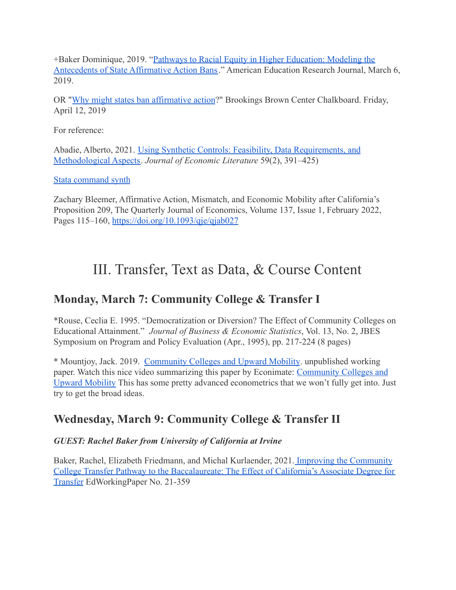+Baker Dominique, 2019. "[Pathways to Racial Equity in Higher Education: Modeling the](https://journals.sagepub.com/doi/10.3102/0002831219833918) [Antecedents of State Affirmative Action Bans](https://journals.sagepub.com/doi/10.3102/0002831219833918)." American Education Research Journal, March 6, 2019.

OR "[Why might states ban affirmative action](https://www.brookings.edu/blog/brown-center-chalkboard/2019/04/12/why-might-states-ban-affirmative-action/)?" Brookings Brown Center Chalkboard. Friday, April 12, 2019

For reference:

Abadie, Alberto, 2021. [Using Synthetic Controls: Feasibility,](https://economics.mit.edu/files/17847) Data Requirements, and [Methodological Aspects.](https://economics.mit.edu/files/17847) *Journal of Economic Literature* 59(2), 391–425)

[Stata command synth](https://web.stanford.edu/~jhain/synthpage.html)

Zachary Bleemer, Affirmative Action, Mismatch, and Economic Mobility after California's Proposition 209, The Quarterly Journal of Economics, Volume 137, Issue 1, February 2022, Pages 115–160, <https://doi.org/10.1093/qje/qjab027>

# III. Transfer, Text as Data, & Course Content

# **Monday, March 7: Community College & Transfer I**

\*Rouse, Ceclia E. 1995. "Democratization or Diversion? The Effect of Community Colleges on Educational Attainment." *Journal of Business & Economic Statistics*, Vol. 13, No. 2, JBES Symposium on Program and Policy Evaluation (Apr., 1995), pp. 217-224 (8 pages)

\* Mountjoy, Jack. 2019. [Community Colleges and Upward](https://f17b4d08-a-62cb3a1a-s-sites.googlegroups.com/site/jackmountjoyeconomics/Mountjoy_2019_Community_Colleges_and_Upward_Mobility.pdf?attachauth=ANoY7cpg4rQspc9yEZ9qcklqw8Nhq_8Rl7tyJ39BSTBoC3B4MySZtKFSBegjPXNZd4j4qJPJy1CUbvI3TekQLePoAi8_ZGmUkj8MAdLZRx1ejBHH5fB1IWwmazUqa7-KYMeC2eZFpoiZ0eUlUaDzqrYRjn0qymdFi010EzN0Ln9GCiXcM4Hf0RMLXRa4sXQWKJw3c89WsTujzgVj1qBua7R1N62uMJcJUQ--s2PI1WpPy5nU06YZAgz1a6GX84Isqw_6KuHO3BWrzh1DgH_2SwMLAqhDk8wjDA%3D%3D&attredirects=0) Mobility. unpublished working paper. Watch this nice video summarizing this paper by Econimate: [Community Colleges and](https://www.youtube.com/watch?v=TkGDowj96m4) [Upward Mobility](https://www.youtube.com/watch?v=TkGDowj96m4) This has some pretty advanced econometrics that we won't fully get into. Just try to get the broad ideas.

# **Wednesday, March 9: Community College & Transfer II**

#### *GUEST: Rachel Baker from University of California at Irvine*

Baker, Rachel, Elizabeth Friedmann, and Michal Kurlaender, 2021. [Improving the Community](https://www.edworkingpapers.com/sites/default/files/ai21-359.pdf) [College Transfer Pathway to the Baccalaureate: The Effect of California's Associate Degree for](https://www.edworkingpapers.com/sites/default/files/ai21-359.pdf) [Transfer](https://www.edworkingpapers.com/sites/default/files/ai21-359.pdf) EdWorkingPaper No. 21-359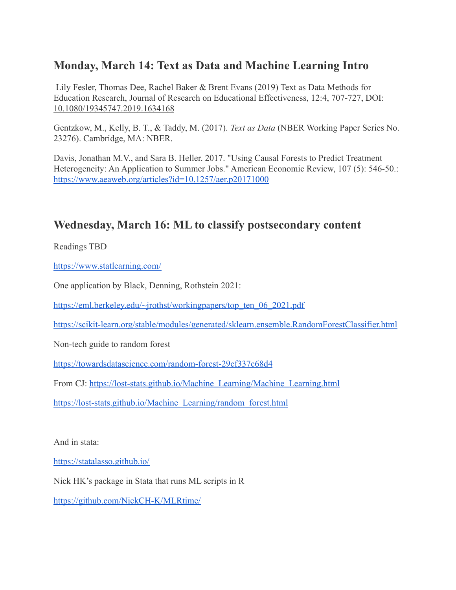## **Monday, March 14: Text as Data and Machine Learning Intro**

Lily Fesler, Thomas Dee, Rachel Baker & Brent Evans (2019) Text as Data Methods for Education Research, Journal of Research on Educational Effectiveness, 12:4, 707-727, DOI: [10.1080/19345747.2019.1634168](https://doi-org.proxy.lib.umich.edu/10.1080/19345747.2019.1634168)

Gentzkow, M., Kelly, B. T., & Taddy, M. (2017). *Text as Data* (NBER Working Paper Series No. 23276). Cambridge, MA: NBER.

Davis, Jonathan M.V., and Sara B. Heller. 2017. "Using Causal Forests to Predict Treatment Heterogeneity: An Application to Summer Jobs." American Economic Review, 107 (5): 546-50.: <https://www.aeaweb.org/articles?id=10.1257/aer.p20171000>

## **Wednesday, March 16: ML to classify postsecondary content**

Readings TBD

<https://www.statlearning.com/>

One application by Black, Denning, Rothstein 2021:

[https://eml.berkeley.edu/~jrothst/workingpapers/top\\_ten\\_06\\_2021.pdf](https://eml.berkeley.edu/~jrothst/workingpapers/top_ten_06_2021.pdf)

<https://scikit-learn.org/stable/modules/generated/sklearn.ensemble.RandomForestClassifier.html>

Non-tech guide to random forest

<https://towardsdatascience.com/random-forest-29cf337c68d4>

From CJ: [https://lost-stats.github.io/Machine\\_Learning/Machine\\_Learning.html](https://lost-stats.github.io/Machine_Learning/Machine_Learning.html)

[https://lost-stats.github.io/Machine\\_Learning/random\\_forest.html](https://lost-stats.github.io/Machine_Learning/random_forest.html)

And in stata:

<https://statalasso.github.io/>

Nick HK's package in Stata that runs ML scripts in R

<https://github.com/NickCH-K/MLRtime/>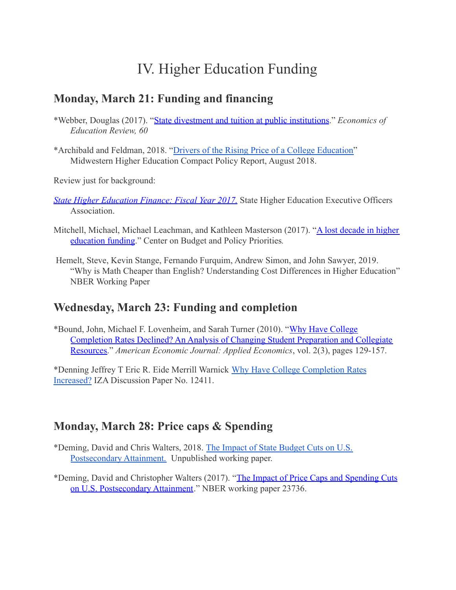# IV. Higher Education Funding

## **Monday, March 21: Funding and financing**

\*Webber, Douglas (2017). "[State divestment and tuition](https://www.sciencedirect.com/science/article/pii/S0272775717303618) at public institutions." *Economics of Education Review, 60*

\*Archibald and Feldman, 2018. "Drivers of the Rising [Price of a College Education"](https://www.mhec.org/sites/default/files/resources/mhec_affordability_series7_20180730_2.pdf) Midwestern Higher Education Compact Policy Report, August 2018.

Review just for background:

- *[State Higher Education Finance: Fiscal Year 2017.](http://www.sheeo.org/projects/shef-%E2%80%94-state-higher-education-finance)* State Higher Education Executive Officers **Association**
- Mitchell, Michael, Michael Leachman, and Kathleen Masterson (2017). "[A lost decade in higher](https://www.cbpp.org/sites/default/files/atoms/files/2017_higher_ed_8-22-17_final.pdf) [education funding](https://www.cbpp.org/sites/default/files/atoms/files/2017_higher_ed_8-22-17_final.pdf)." Center on Budget and Policy Priorities*.*
- Hemelt, Steve, Kevin Stange, Fernando Furquim, Andrew Simon, and John Sawyer, 2019. "Why is Math Cheaper than English? Understanding Cost Differences in Higher Education" NBER Working Paper

## **Wednesday, March 23: Funding and completion**

\*Bound, John, Michael F. Lovenheim, and Sarah Turner (2010). "[Why Have College](https://www.aeaweb.org/articles?id=10.1257/app.2.3.129) [Completion Rates Declined? An Analysis of Changing Student Preparation and Collegiate](https://www.aeaweb.org/articles?id=10.1257/app.2.3.129) [Resources.](https://www.aeaweb.org/articles?id=10.1257/app.2.3.129)" *American Economic Journal: Applied Economics*, vol. 2(3), pages 129-157.

\*Denning Jeffrey T Eric R. Eide Merrill Warnick Why [Have College Completion Rates](https://www.iza.org/publications/dp/12411/why-have-college-completion-rates-increased) [Increased?](https://www.iza.org/publications/dp/12411/why-have-college-completion-rates-increased) IZA Discussion Paper No. 12411.

# **Monday, March 28: Price caps & Spending**

- \*Deming, David and Chris Walters, 2018. The Impact [of State Budget Cuts on U.S.](https://eml.berkeley.edu//~crwalters/papers/deming_walters.pdf) [Postsecondary Attainment.](https://eml.berkeley.edu//~crwalters/papers/deming_walters.pdf) Unpublished working paper.
- \*Deming, David and Christopher Walters (2017). "The [Impact of Price Caps and Spending Cuts](http://www.nber.org/papers/w23736) [on U.S. Postsecondary Attainment](http://www.nber.org/papers/w23736)." NBER working paper 23736.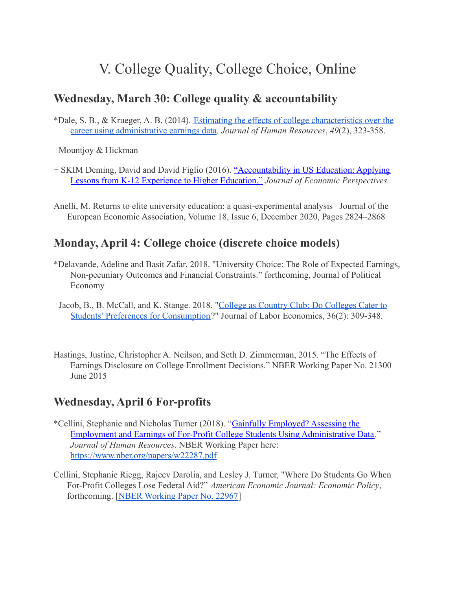# V. College Quality, College Choice, Online

### **Wednesday, March 30: College quality & accountability**

\*Dale, S. B., & Krueger, A. B. (2014). Estimating [the effects of college characteristics over the](http://jhr.uwpress.org/content/49/2/323.short) [career using administrative earnings data](http://jhr.uwpress.org/content/49/2/323.short). *Journal of Human Resources*, *49*(2), 323-358.

+Mountjoy & Hickman

- + SKIM Deming, David and David Figlio (2016). "Accountability [in US Education: Applying](https://www.aeaweb.org/articles?id=10.1257/jep.30.3.33) [Lessons from K-12 Experience to Higher Education."](https://www.aeaweb.org/articles?id=10.1257/jep.30.3.33) *Journal of Economic Perspectives.*
- Anelli, M. Returns to elite university education: a quasi-experimental analysis Journal of the European Economic Association, Volume 18, Issue 6, December 2020, Pages 2824–2868

### **Monday, April 4: College choice (discrete choice models)**

- \*Delavande, Adeline and Basit Zafar, 2018. "University Choice: The Role of Expected Earnings, Non-pecuniary Outcomes and Financial Constraints." forthcoming, Journal of Political Economy
- +Jacob, B., B. McCall, and K. Stange. 2018. "College [as Country Club: Do Colleges Cater to](https://www.journals.uchicago.edu/doi/10.1086/694654?mobileUi=0) [Students' Preferences for Consumption](https://www.journals.uchicago.edu/doi/10.1086/694654?mobileUi=0)?" Journal of Labor Economics, 36(2): 309-348.
- Hastings, Justine, Christopher A. Neilson, and Seth D. Zimmerman, 2015. "The Effects of Earnings Disclosure on College Enrollment Decisions." NBER Working Paper No. 21300 June 2015

## **Wednesday, April 6 For-profits**

- \*Cellini, Stephanie and Nicholas Turner (2018). "Gainfully [Employed? Assessing the](http://jhr.uwpress.org/content/early/2018/01/25/jhr.54.2.1016.8302R1.abstract) [Employment and Earnings of For-Profit College Students Using Administrative Data](http://jhr.uwpress.org/content/early/2018/01/25/jhr.54.2.1016.8302R1.abstract)." *Journal of Human Resources*. NBER Working Paper here: <https://www.nber.org/papers/w22287.pdf>
- Cellini, Stephanie Riegg, Rajeev Darolia, and Lesley J. Turner, "Where Do Students Go When For-Profit Colleges Lose Federal Aid?" *American Economic Journal: Economic Policy*, forthcoming. [\[NBER Working Paper No. 22967](https://www.nber.org/papers/w22967)]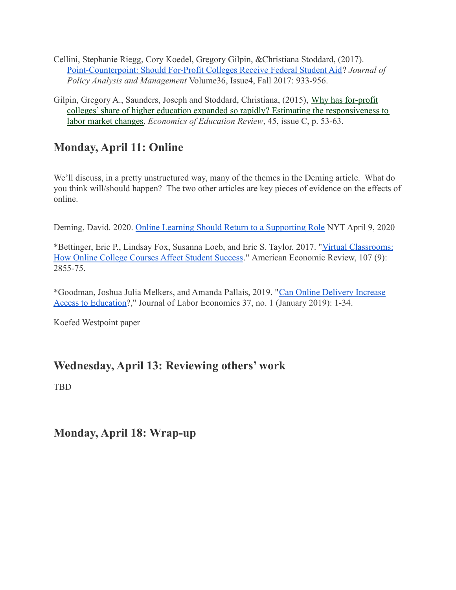- Cellini, Stephanie Riegg, Cory Koedel, Gregory Gilpin, &Christiana Stoddard, (2017). [Point-Counterpoint: Should For-Profit Colleges Receive Federal Student Aid](https://onlinelibrary.wiley.com/toc/15206688/36/4)? *Journal of Policy Analysis and Management* Volume36, Issue4, Fall 2017: 933-956.
- Gilpin, Gregory A., Saunders, Joseph and Stoddard, Christiana, (2015), [Why has for-profit](https://econpapers.repec.org/RePEc:eee:ecoedu:v:45:y:2015:i:c:p:53-63) [colleges' share of higher education expanded so rapidly? Estimating the responsiveness to](https://econpapers.repec.org/RePEc:eee:ecoedu:v:45:y:2015:i:c:p:53-63) [labor market changes,](https://econpapers.repec.org/RePEc:eee:ecoedu:v:45:y:2015:i:c:p:53-63) *Economics of Education Review*, 45, issue C, p. 53-63.

# **Monday, April 11: Online**

We'll discuss, in a pretty unstructured way, many of the themes in the Deming article. What do you think will/should happen? The two other articles are key pieces of evidence on the effects of online.

Deming, David. 2020. [Online Learning Should Return](https://www.nytimes.com/2020/04/09/business/online-learning-virus.html?referringSource=articleShare) to a Supporting Role NYT April 9, 2020

\*Bettinger, Eric P., Lindsay Fox, Susanna Loeb, and Eric S. Taylor. 2017. "[Virtual Classrooms:](https://www.aeaweb.org/articles?id=10.1257/aer.20151193) [How Online College Courses Affect Student Success](https://www.aeaweb.org/articles?id=10.1257/aer.20151193)." American Economic Review, 107 (9): 2855-75.

\*Goodman, Joshua Julia Melkers, and Amanda Pallais, 2019. "[Can Online Delivery Increase](https://www.journals.uchicago.edu/doi/10.1086/698895) [Access to Education?](https://www.journals.uchicago.edu/doi/10.1086/698895)," Journal of Labor Economics 37, no. 1 (January 2019): 1-34.

Koefed Westpoint paper

# **Wednesday, April 13: Reviewing others' work**

TBD

**Monday, April 18: Wrap-up**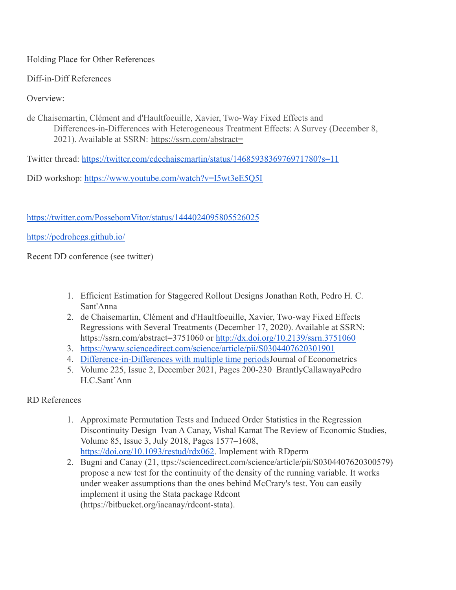Holding Place for Other References

Diff-in-Diff References

Overview:

de Chaisemartin, Clément and d'Haultfoeuille, Xavier, Two-Way Fixed Effects and Differences-in-Differences with Heterogeneous Treatment Effects: A Survey (December 8, 2021). Available at SSRN: <https://ssrn.com/abstract=>

Twitter thread: <https://twitter.com/cdechaisemartin/status/1468593836976971780?s=11>

DiD workshop: <https://www.youtube.com/watch?v=I5wt3eE5Q5I>

<https://twitter.com/PossebomVitor/status/1444024095805526025>

<https://pedrohcgs.github.io/>

Recent DD conference (see twitter)

- 1. Efficient Estimation for Staggered Rollout Designs Jonathan Roth, Pedro H. C. Sant'Anna
- 2. de Chaisemartin, Clément and d'Haultfoeuille, Xavier, Two-way Fixed Effects Regressions with Several Treatments (December 17, 2020). Available at SSRN: https://ssrn.com/abstract=3751060 or <http://dx.doi.org/10.2139/ssrn.3751060>
- 3. <https://www.sciencedirect.com/science/article/pii/S0304407620301901>
- 4. [Difference-in-Differences with multiple time periods](https://doi.org/10.1016/j.jeconom.2020.12.001)Journal of Econometrics
- 5. Volume 225, Issue 2, December 2021, Pages 200-230 BrantlyCallawayaPedro H.C.Sant'Ann

RD References

- 1. Approximate Permutation Tests and Induced Order Statistics in the Regression Discontinuity Design Ivan A Canay, Vishal Kamat The Review of Economic Studies, Volume 85, Issue 3, July 2018, Pages 1577–1608, [https://doi.org/10.1093/restud/rdx062.](https://doi.org/10.1093/restud/rdx062) Implement with RDperm
- 2. Bugni and Canay (21, ttps://sciencedirect.com/science/article/pii/S0304407620300579) propose a new test for the continuity of the density of the running variable. It works under weaker assumptions than the ones behind McCrary's test. You can easily implement it using the Stata package Rdcont (https://bitbucket.org/iacanay/rdcont-stata).